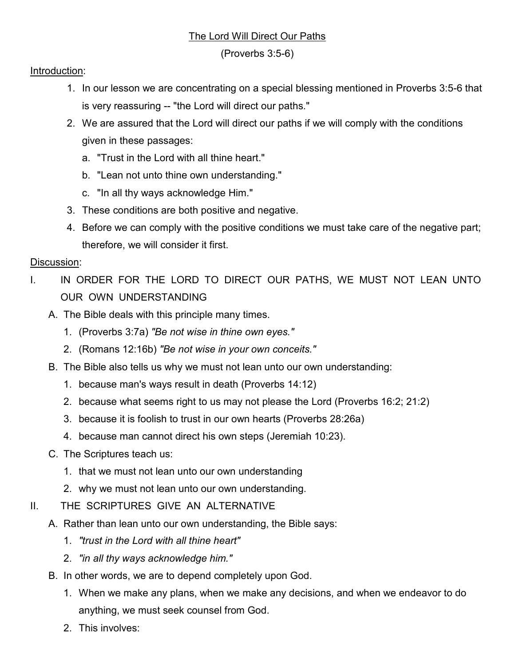## The Lord Will Direct Our Paths

(Proverbs 3:5-6)

## Introduction:

- 1. In our lesson we are concentrating on a special blessing mentioned in Proverbs 3:5-6 that is very reassuring -- "the Lord will direct our paths."
- 2. We are assured that the Lord will direct our paths if we will comply with the conditions given in these passages:
	- a. "Trust in the Lord with all thine heart."
	- b. "Lean not unto thine own understanding."
	- c. "In all thy ways acknowledge Him."
- 3. These conditions are both positive and negative.
- 4. Before we can comply with the positive conditions we must take care of the negative part; therefore, we will consider it first.

## Discussion:

- I. IN ORDER FOR THE LORD TO DIRECT OUR PATHS, WE MUST NOT LEAN UNTO OUR OWN UNDERSTANDING
	- A. The Bible deals with this principle many times.
		- 1. (Proverbs 3:7a) *"Be not wise in thine own eyes."*
		- 2. (Romans 12:16b) *"Be not wise in your own conceits."*
	- B. The Bible also tells us why we must not lean unto our own understanding:
		- 1. because man's ways result in death (Proverbs 14:12)
		- 2. because what seems right to us may not please the Lord (Proverbs 16:2; 21:2)
		- 3. because it is foolish to trust in our own hearts (Proverbs 28:26a)
		- 4. because man cannot direct his own steps (Jeremiah 10:23).
	- C. The Scriptures teach us:
		- 1. that we must not lean unto our own understanding
		- 2. why we must not lean unto our own understanding.
- II. THE SCRIPTURES GIVE AN ALTERNATIVE
	- A. Rather than lean unto our own understanding, the Bible says:
		- 1. *"trust in the Lord with all thine heart"*
		- 2. *"in all thy ways acknowledge him."*
	- B. In other words, we are to depend completely upon God.
		- 1. When we make any plans, when we make any decisions, and when we endeavor to do anything, we must seek counsel from God.
		- 2. This involves: